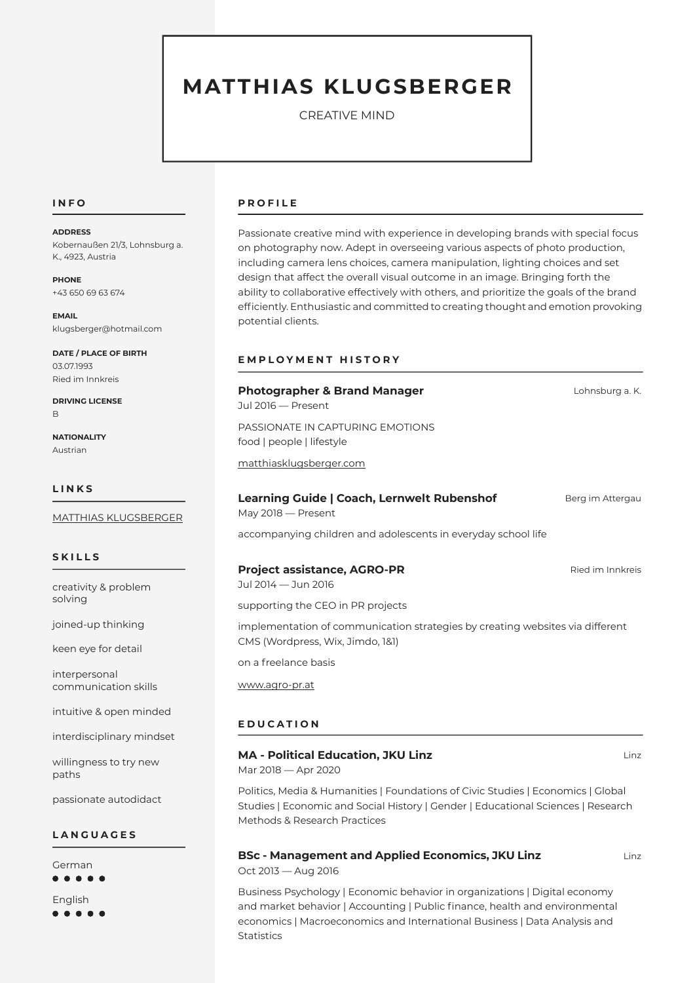# MATTHIAS KLUGSBERGER

CREATIVE MIND

#### INFO

#### ADDRESS

Kobernaußen 21/3, Lohnsburg a. K., 4923, Austria

PHONE +43 650 69 63 674

EMAIL klugsberger@hotmail.com

DATE / PLACE OF BIRTH 03.07.1993 Ried im Innkreis

DRIVING LICENSE B

**NATIONALITY** Austrian

#### LINKS

[MATTHIAS KLUGSBERGER](http://www.matthiasklugsberger.com)

# SKILLS

creativity & problem solving

joined-up thinking

keen eye for detail

interpersonal communication skills

intuitive & open minded

interdisciplinary mindset

willingness to try new paths

passionate autodidact

# **LANGUAGES**

German  $\bullet\bullet\bullet\bullet$ English . . . . .

# PROFILE

Passionate creative mind with experience in developing brands with special focus on photography now. Adept in overseeing various aspects of photo production, including camera lens choices, camera manipulation, lighting choices and set design that affect the overall visual outcome in an image. Bringing forth the ability to collaborative effectively with others, and prioritize the goals of the brand efficiently. Enthusiastic and committed to creating thought and emotion provoking potential clients.

#### EMPLOYMENT HISTORY

#### Photographer & Brand Manager **Lohnsburg a. K.** Lohnsburg a. K.

 $Jul$  2016  $-$  Present PASSIONATE IN CAPTURING EMOTIONS

food | people | lifestyle

[matthiasklugsberger.com](https://www.matthiasklugsberger.com)

#### Learning Guide | Coach, Lernwelt Rubenshof Berg im Attergau

 $May 2018 - Present$ 

accompanying children and adolescents in everyday school life

# **Project assistance, AGRO-PR** Ried im Innkreis

Jul 2014 — Jun 2016 supporting the CEO in PR projects

implementation of communication strategies by creating websites via different CMS (Wordpress, Wix, Jimdo, 1&1)

on a freelance basis

[www.agro-pr.at](http://www.agro-pr.at)

#### EDUCATION

#### MA - Political Education, JKU Linz Linz Linz Linz Linz

Mar 2018 - Apr 2020

Politics, Media & Humanities | Foundations of Civic Studies | Economics | Global Studies | Economic and Social History | Gender | Educational Sciences | Research Methods & Research Practices

# BSc - Management and Applied Economics, JKU Linz Linz

Oct 2013 - Aug 2016

Business Psychology | Economic behavior in organizations | Digital economy and market behavior | Accounting | Public finance, health and environmental economics | Macroeconomics and International Business | Data Analysis and **Statistics**